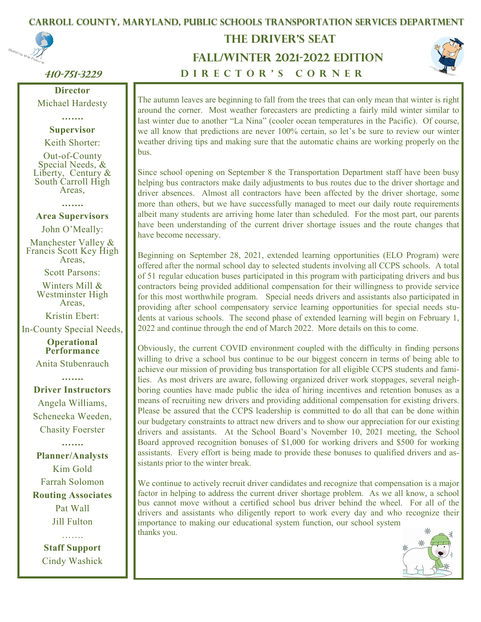# 1  **Carroll County, Maryland, Public Schools Transportation Services Department**



## **410-751-3229**

**Director** Michael Hardesty

#### **……. Supervisor**

Keith Shorter:

Out-of-County Special Needs, & Liberty, Century & South Carroll High Areas,

**…….**

**Area Supervisors**

John O'Meally:

Manchester Valley & Francis Scott Key High Areas,

Scott Parsons:

Winters Mill & Westminster High Areas,

Kristin Ebert:

In-County Special Needs,

**Operational Performance**

Anita Stubenrauch

**…….**

**Driver Instructors** 

Angela Williams, Scheneeka Weeden, Chasity Foerster

**……. Planner/Analysts** Kim Gold Farrah Solomon **Routing Associates** Pat Wall Jill Fulton

> **Staff Support**  Cindy Washick

. . . . . . .

# **FALL/WINTER 2021-2022 EDITION The Driver's Seat**





The autumn leaves are beginning to fall from the trees that can only mean that winter is right around the corner. Most weather forecasters are predicting a fairly mild winter similar to last winter due to another "La Nina" (cooler ocean temperatures in the Pacific). Of course, we all know that predictions are never 100% certain, so let's be sure to review our winter weather driving tips and making sure that the automatic chains are working properly on the bus.

Since school opening on September 8 the Transportation Department staff have been busy helping bus contractors make daily adjustments to bus routes due to the driver shortage and driver absences. Almost all contractors have been affected by the driver shortage, some more than others, but we have successfully managed to meet our daily route requirements albeit many students are arriving home later than scheduled. For the most part, our parents have been understanding of the current driver shortage issues and the route changes that have become necessary.

Beginning on September 28, 2021, extended learning opportunities (ELO Program) were offered after the normal school day to selected students involving all CCPS schools. A total of 51 regular education buses participated in this program with participating drivers and bus contractors being provided additional compensation for their willingness to provide service for this most worthwhile program. Special needs drivers and assistants also participated in providing after school compensatory service learning opportunities for special needs students at various schools. The second phase of extended learning will begin on February 1, 2022 and continue through the end of March 2022. More details on this to come.

Obviously, the current COVID environment coupled with the difficulty in finding persons willing to drive a school bus continue to be our biggest concern in terms of being able to achieve our mission of providing bus transportation for all eligible CCPS students and families. As most drivers are aware, following organized driver work stoppages, several neighboring counties have made public the idea of hiring incentives and retention bonuses as a means of recruiting new drivers and providing additional compensation for existing drivers. Please be assured that the CCPS leadership is committed to do all that can be done within our budgetary constraints to attract new drivers and to show our appreciation for our existing drivers and assistants. At the School Board's November 10, 2021 meeting, the School Board approved recognition bonuses of \$1,000 for working drivers and \$500 for working assistants. Every effort is being made to provide these bonuses to qualified drivers and assistants prior to the winter break.

We continue to actively recruit driver candidates and recognize that compensation is a major factor in helping to address the current driver shortage problem. As we all know, a school bus cannot move without a certified school bus driver behind the wheel. For all of the drivers and assistants who diligently report to work every day and who recognize their importance to making our educational system function, our school system thanks you.

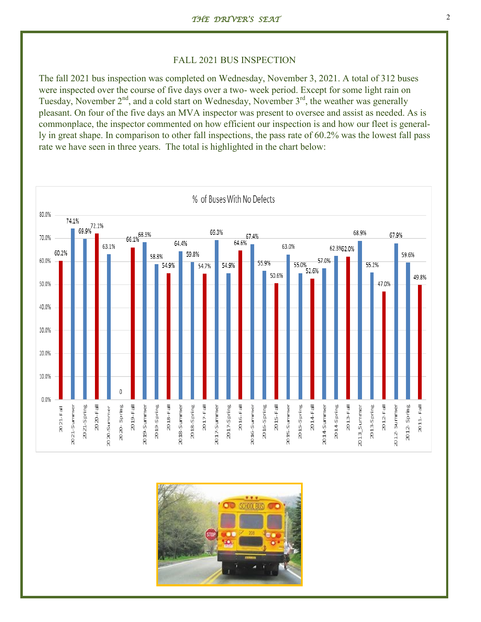#### FALL 2021 BUS INSPECTION

The fall 2021 bus inspection was completed on Wednesday, November 3, 2021. A total of 312 buses were inspected over the course of five days over a two- week period. Except for some light rain on Tuesday, November  $2<sup>nd</sup>$ , and a cold start on Wednesday, November  $3<sup>rd</sup>$ , the weather was generally pleasant. On four of the five days an MVA inspector was present to oversee and assist as needed. As is commonplace, the inspector commented on how efficient our inspection is and how our fleet is generally in great shape. In comparison to other fall inspections, the pass rate of 60.2% was the lowest fall pass rate we have seen in three years. The total is highlighted in the chart below:



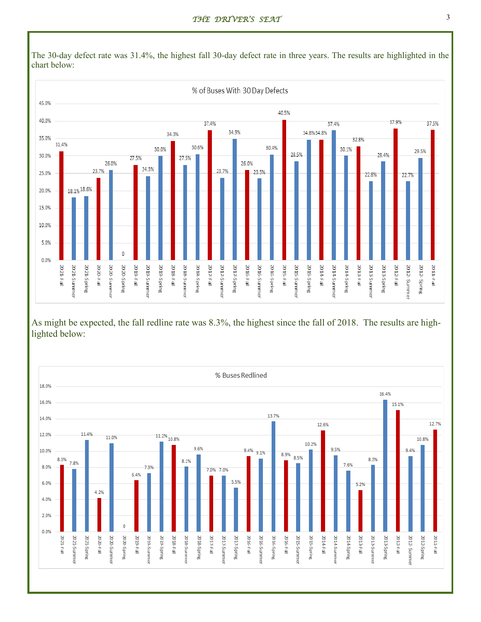

The 30-day defect rate was 31.4%, the highest fall 30-day defect rate in three years. The results are highlighted in the chart below:

As might be expected, the fall redline rate was 8.3%, the highest since the fall of 2018. The results are highlighted below:

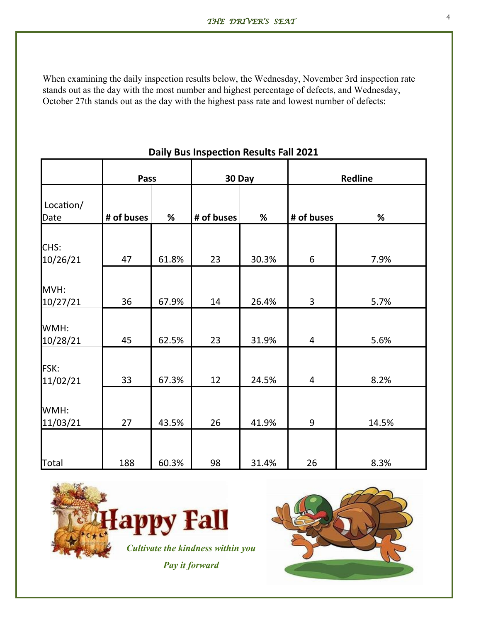When examining the daily inspection results below, the Wednesday, November 3rd inspection rate stands out as the day with the most number and highest percentage of defects, and Wednesday, October 27th stands out as the day with the highest pass rate and lowest number of defects:

|                   | <b>Pass</b> |       | 30 Day     |       | <b>Redline</b>           |       |
|-------------------|-------------|-------|------------|-------|--------------------------|-------|
| Location/<br>Date | # of buses  | %     | # of buses | %     | # of buses               | %     |
| CHS:              |             |       |            |       |                          |       |
| 10/26/21          | 47          | 61.8% | 23         | 30.3% | 6                        | 7.9%  |
| MVH:<br>10/27/21  | 36          | 67.9% | 14         | 26.4% | 3                        | 5.7%  |
| WMH:<br>10/28/21  | 45          | 62.5% | 23         | 31.9% | $\overline{\mathcal{A}}$ | 5.6%  |
| FSK:<br>11/02/21  | 33          | 67.3% | 12         | 24.5% | $\overline{4}$           | 8.2%  |
| WMH:<br>11/03/21  | 27          | 43.5% | 26         | 41.9% | 9                        | 14.5% |
| <b>Total</b>      | 188         | 60.3% | 98         | 31.4% | 26                       | 8.3%  |

## **Daily Bus Inspection Results Fall 2021**

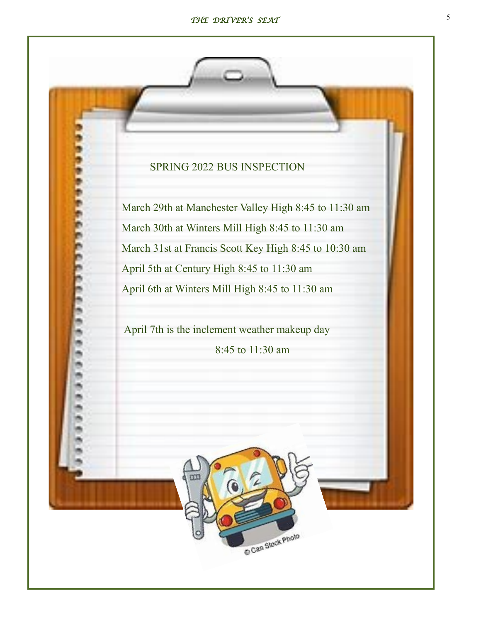# SPRING 2022 BUS INSPECTION

March 29th at Manchester Valley High 8:45 to 11:30 am March 30th at Winters Mill High 8:45 to 11:30 am March 31st at Francis Scott Key High 8:45 to 10:30 am April 5th at Century High 8:45 to 11:30 am April 6th at Winters Mill High 8:45 to 11:30 am

April 7th is the inclement weather makeup day 8:45 to 11:30 am

Can Stock Photo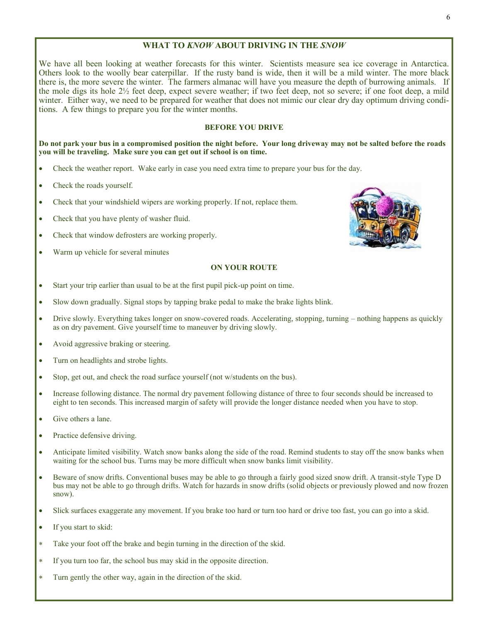#### **WHAT TO** *KNOW* **ABOUT DRIVING IN THE** *SNOW*

We have all been looking at weather forecasts for this winter. Scientists measure sea ice coverage in Antarctica. Others look to the woolly bear caterpillar. If the rusty band is wide, then it will be a mild winter. The more black there is, the more severe the winter. The farmers almanac will have you measure the depth of burrowing animals. If the mole digs its hole 2½ feet deep, expect severe weather; if two feet deep, not so severe; if one foot deep, a mild winter. Either way, we need to be prepared for weather that does not mimic our clear dry day optimum driving conditions. A few things to prepare you for the winter months.

#### **BEFORE YOU DRIVE**

**Do not park your bus in a compromised position the night before. Your long driveway may not be salted before the roads you will be traveling. Make sure you can get out if school is on time.** 

- Check the weather report. Wake early in case you need extra time to prepare your bus for the day.
- Check the roads yourself.
- Check that your windshield wipers are working properly. If not, replace them.
- Check that you have plenty of washer fluid.
- Check that window defrosters are working properly.
- Warm up vehicle for several minutes

#### **ON YOUR ROUTE**

- Start your trip earlier than usual to be at the first pupil pick-up point on time.
- Slow down gradually. Signal stops by tapping brake pedal to make the brake lights blink.
- Drive slowly. Everything takes longer on snow-covered roads. Accelerating, stopping, turning nothing happens as quickly as on dry pavement. Give yourself time to maneuver by driving slowly.
- Avoid aggressive braking or steering.
- Turn on headlights and strobe lights.
- Stop, get out, and check the road surface yourself (not w/students on the bus).
- Increase following distance. The normal dry pavement following distance of three to four seconds should be increased to eight to ten seconds. This increased margin of safety will provide the longer distance needed when you have to stop.
- Give others a lane.
- Practice defensive driving.
- Anticipate limited visibility. Watch snow banks along the side of the road. Remind students to stay off the snow banks when waiting for the school bus. Turns may be more difficult when snow banks limit visibility.
- Beware of snow drifts. Conventional buses may be able to go through a fairly good sized snow drift. A transit-style Type D bus may not be able to go through drifts. Watch for hazards in snow drifts (solid objects or previously plowed and now frozen snow).
- Slick surfaces exaggerate any movement. If you brake too hard or turn too hard or drive too fast, you can go into a skid.
- If you start to skid:
- Take your foot off the brake and begin turning in the direction of the skid.
- If you turn too far, the school bus may skid in the opposite direction.
- Turn gently the other way, again in the direction of the skid.

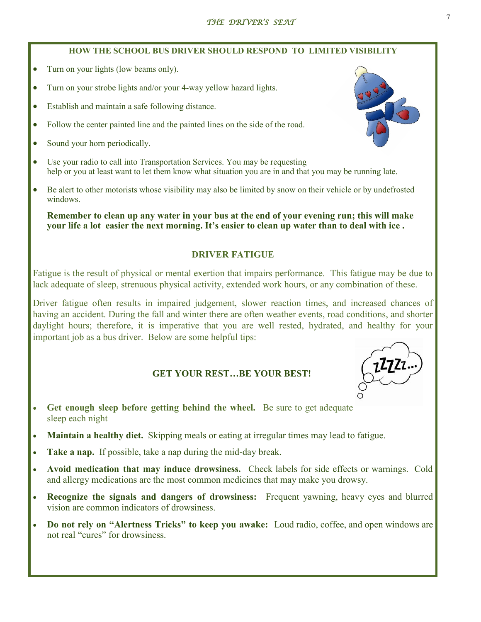## **HOW THE SCHOOL BUS DRIVER SHOULD RESPOND TO LIMITED VISIBILITY**

- Turn on your lights (low beams only).
- Turn on your strobe lights and/or your 4-way yellow hazard lights.
- Establish and maintain a safe following distance.
- Follow the center painted line and the painted lines on the side of the road.
- Sound your horn periodically.
- Use your radio to call into Transportation Services. You may be requesting help or you at least want to let them know what situation you are in and that you may be running late.
- Be alert to other motorists whose visibility may also be limited by snow on their vehicle or by undefrosted windows.

**Remember to clean up any water in your bus at the end of your evening run; this will make your life a lot easier the next morning. It's easier to clean up water than to deal with ice .**

## **DRIVER FATIGUE**

Fatigue is the result of physical or mental exertion that impairs performance. This fatigue may be due to lack adequate of sleep, strenuous physical activity, extended work hours, or any combination of these.

Driver fatigue often results in impaired judgement, slower reaction times, and increased chances of having an accident. During the fall and winter there are often weather events, road conditions, and shorter daylight hours; therefore, it is imperative that you are well rested, hydrated, and healthy for your important job as a bus driver. Below are some helpful tips:

## **GET YOUR REST…BE YOUR BEST!**

- **Get enough sleep before getting behind the wheel.** Be sure to get adequate sleep each night
- **Maintain a healthy diet.** Skipping meals or eating at irregular times may lead to fatigue.
- **Take a nap.** If possible, take a nap during the mid-day break.
- **Avoid medication that may induce drowsiness.** Check labels for side effects or warnings. Cold and allergy medications are the most common medicines that may make you drowsy.
- **Recognize the signals and dangers of drowsiness:** Frequent yawning, heavy eyes and blurred vision are common indicators of drowsiness.
- **Do not rely on "Alertness Tricks" to keep you awake:** Loud radio, coffee, and open windows are not real "cures" for drowsiness.



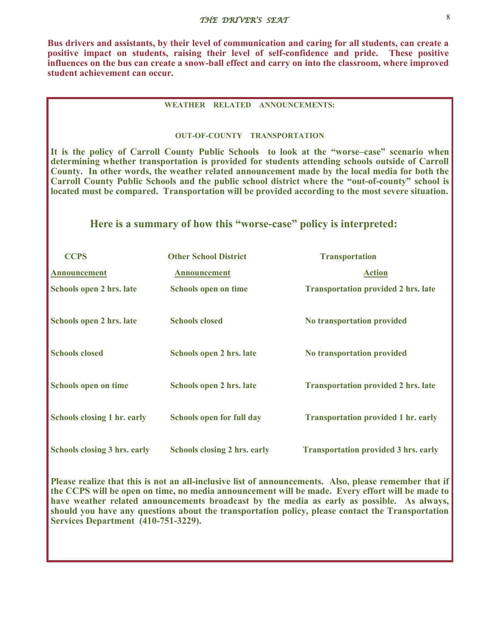## 8 *THE DRIVER'S SEAT*

**Bus drivers and assistants, by their level of communication and caring for all students, can create a positive impact on students, raising their level of self-confidence and pride. These positive influences on the bus can create a snow-ball effect and carry on into the classroom, where improved student achievement can occur.**

#### **WEATHER RELATED ANNOUNCEMENTS:**

#### **OUT-OF-COUNTY TRANSPORTATION**

**It is the policy of Carroll County Public Schools to look at the "worse–case" scenario when determining whether transportation is provided for students attending schools outside of Carroll County. In other words, the weather related announcement made by the local media for both the Carroll County Public Schools and the public school district where the "out-of-county" school is located must be compared. Transportation will be provided according to the most severe situation.**

### **Here is a summary of how this "worse-case" policy is interpreted:**

| <b>CCPS</b>                         | <b>Other School District</b>        | <b>Transportation</b>                       |
|-------------------------------------|-------------------------------------|---------------------------------------------|
| <b>Announcement</b>                 | <b>Announcement</b>                 | <b>Action</b>                               |
| Schools open 2 hrs. late            | <b>Schools open on time</b>         | <b>Transportation provided 2 hrs. late</b>  |
| Schools open 2 hrs. late            | <b>Schools closed</b>               | No transportation provided                  |
| <b>Schools closed</b>               | Schools open 2 hrs. late            | No transportation provided                  |
| <b>Schools open on time</b>         | Schools open 2 hrs. late            | <b>Transportation provided 2 hrs. late</b>  |
| <b>Schools closing 1 hr. early</b>  | <b>Schools open for full day</b>    | <b>Transportation provided 1 hr. early</b>  |
| <b>Schools closing 3 hrs. early</b> | <b>Schools closing 2 hrs. early</b> | <b>Transportation provided 3 hrs. early</b> |

**Please realize that this is not an all-inclusive list of announcements. Also, please remember that if the CCPS will be open on time, no media announcement will be made. Every effort will be made to have weather related announcements broadcast by the media as early as possible. As always, should you have any questions about the transportation policy, please contact the Transportation Services Department (410-751-3229).**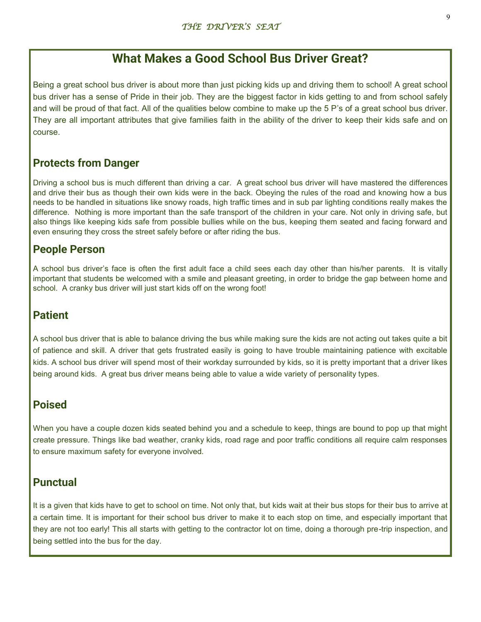# **What Makes a Good School Bus Driver Great?**

Being a great school bus driver is about more than just picking kids up and driving them to school! A great school bus driver has a sense of Pride in their job. They are the biggest factor in kids getting to and from school safely and will be proud of that fact. All of the qualities below combine to make up the 5 P's of a great school bus driver. They are all important attributes that give families faith in the ability of the driver to keep their kids safe and on course.

# **Protects from Danger**

Driving a school bus is much different than driving a car. A great school bus driver will have mastered the differences and drive their bus as though their own kids were in the back. Obeying the rules of the road and knowing how a bus needs to be handled in situations like snowy roads, high traffic times and in sub par lighting conditions really makes the difference. Nothing is more important than the safe transport of the children in your care. Not only in driving safe, but also things like keeping kids safe from possible bullies while on the bus, keeping them seated and facing forward and even ensuring they cross the street safely before or after riding the bus.

# **People Person**

A school bus driver's face is often the first adult face a child sees each day other than his/her parents. It is vitally important that students be welcomed with a smile and pleasant greeting, in order to bridge the gap between home and school. A cranky bus driver will just start kids off on the wrong foot!

# **Patient**

A school bus driver that is able to balance driving the bus while making sure the kids are not acting out takes quite a bit of patience and skill. A driver that gets frustrated easily is going to have trouble maintaining patience with excitable kids. A school bus driver will spend most of their workday surrounded by kids, so it is pretty important that a driver likes being around kids. A great bus driver means being able to value a wide variety of personality types.

# **Poised**

When you have a couple dozen kids seated behind you and a schedule to keep, things are bound to pop up that might create pressure. Things like bad weather, cranky kids, road rage and poor traffic conditions all require calm responses to ensure maximum safety for everyone involved.

# **Punctual**

It is a given that kids have to get to school on time. Not only that, but kids wait at their bus stops for their bus to arrive at a certain time. It is important for their school bus driver to make it to each stop on time, and especially important that they are not too early! This all starts with getting to the contractor lot on time, doing a thorough pre-trip inspection, and being settled into the bus for the day.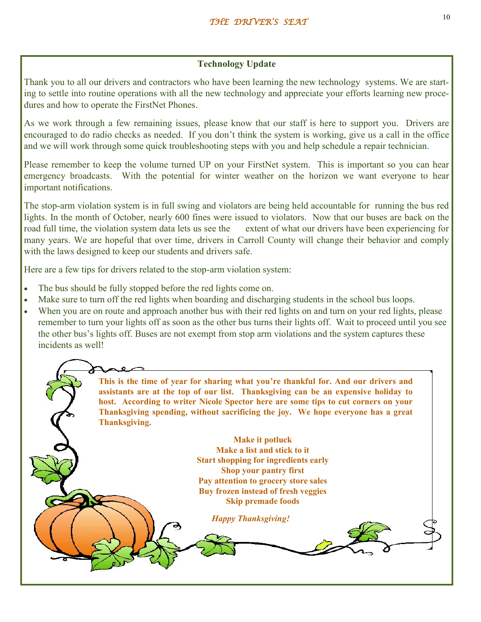## **Technology Update**

Thank you to all our drivers and contractors who have been learning the new technology systems. We are starting to settle into routine operations with all the new technology and appreciate your efforts learning new procedures and how to operate the FirstNet Phones.

As we work through a few remaining issues, please know that our staff is here to support you. Drivers are encouraged to do radio checks as needed. If you don't think the system is working, give us a call in the office and we will work through some quick troubleshooting steps with you and help schedule a repair technician.

Please remember to keep the volume turned UP on your FirstNet system. This is important so you can hear emergency broadcasts. With the potential for winter weather on the horizon we want everyone to hear important notifications.

The stop-arm violation system is in full swing and violators are being held accountable for running the bus red lights. In the month of October, nearly 600 fines were issued to violators. Now that our buses are back on the road full time, the violation system data lets us see the extent of what our drivers have been experiencing for many years. We are hopeful that over time, drivers in Carroll County will change their behavior and comply with the laws designed to keep our students and drivers safe.

Here are a few tips for drivers related to the stop-arm violation system:

- The bus should be fully stopped before the red lights come on.
- Make sure to turn off the red lights when boarding and discharging students in the school bus loops.
- When you are on route and approach another bus with their red lights on and turn on your red lights, please remember to turn your lights off as soon as the other bus turns their lights off. Wait to proceed until you see the other bus's lights off. Buses are not exempt from stop arm violations and the system captures these incidents as well!

**This is the time of year for sharing what you're thankful for. And our drivers and assistants are at the top of our list. Thanksgiving can be an expensive holiday to host. According to writer Nicole Spector here are some tips to cut corners on your Thanksgiving spending, without sacrificing the joy. We hope everyone has a great Thanksgiving. Make it potluck Make a list and stick to it Start shopping for ingredients early Shop your pantry first Pay attention to grocery store sales Buy frozen instead of fresh veggies Skip premade foods** *Happy Thanksgiving!*